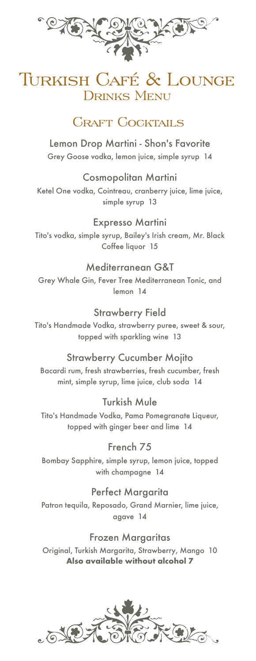

# Turkish Café & Lounge Drinks Menu

# **CRAFT COCKTAILS**

Lemon Drop Martini - Shon's Favorite Grey Goose vodka, lemon juice, simple syrup 14

Cosmopolitan Martini Ketel One vodka, Cointreau, cranberry juice, lime juice, simple syrup 13

Expresso Martini Tito's vodka, simple syrup, Bailey's Irish cream, Mr. Black Coffee liquor 15

#### Mediterranean G&T

Grey Whale Gin, Fever Tree Mediterranean Tonic, and lemon 14

Strawberry Field

Tito's Handmade Vodka, strawberry puree, sweet & sour, topped with sparkling wine 13

#### Strawberry Cucumber Mojito

Bacardi rum, fresh strawberries, fresh cucumber, fresh mint, simple syrup, lime juice, club soda 14

Turkish Mule

Tito's Handmade Vodka, Pama Pomegranate Liqueur, topped with ginger beer and lime 14

French 75

Bombay Sapphire, simple syrup, lemon juice, topped with champagne 14

Perfect Margarita Patron tequila, Reposado, Grand Marnier, lime juice, agave 14

Frozen Margaritas Original, Turkish Margarita, Strawberry, Mango 10 **Also available without alcohol 7**